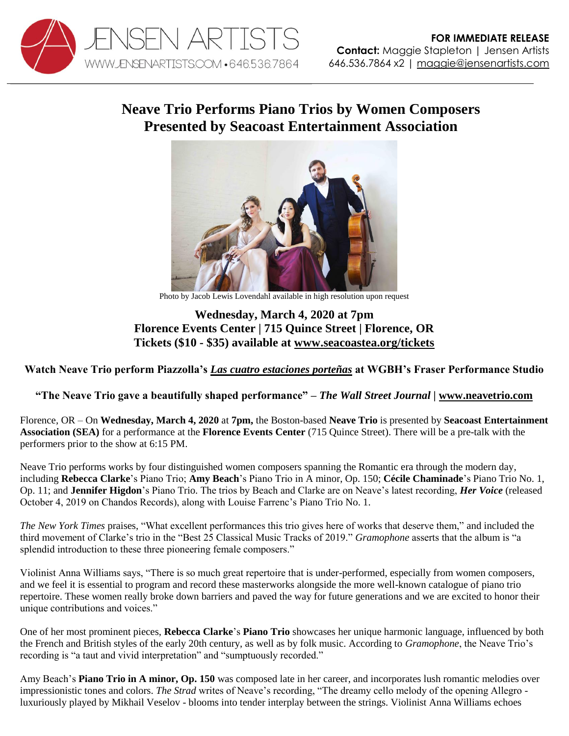

## **Neave Trio Performs Piano Trios by Women Composers Presented by Seacoast Entertainment Association**



Photo by Jacob Lewis Lovendahl available in high resolution upon request

## **Wednesday, March 4, 2020 at 7pm Florence Events Center | 715 Quince Street | Florence, OR Tickets (\$10 - \$35) available at [www.seacoastea.org/tickets](http://www.seacoastea.org/tickets)**

## **Watch Neave Trio perform Piazzolla's** *[Las cuatro estaciones porteñas](https://youtu.be/Xs3a6h4OV-E)* **at WGBH's Fraser Performance Studio**

## **"The Neave Trio gave a beautifully shaped performance"** *– The Wall Street Journal |* **[www.neavetrio.com](http://www.neavetrio.com/)**

Florence, OR – On **Wednesday, March 4, 2020** at **7pm,** the Boston-based **Neave Trio** is presented by **Seacoast Entertainment Association (SEA)** for a performance at the **Florence Events Center** (715 Quince Street). There will be a pre-talk with the performers prior to the show at 6:15 PM.

Neave Trio performs works by four distinguished women composers spanning the Romantic era through the modern day, including **Rebecca Clarke**'s Piano Trio; **Amy Beach**'s Piano Trio in A minor, Op. 150; **Cécile Chaminade**'s Piano Trio No. 1, Op. 11; and **Jennifer Higdon**'s Piano Trio. The trios by Beach and Clarke are on Neave's latest recording, *Her Voice* (released October 4, 2019 on Chandos Records), along with Louise Farrenc's Piano Trio No. 1.

*The New York Times* praises, "What excellent performances this trio gives here of works that deserve them," and included the third movement of Clarke's trio in the "Best 25 Classical Music Tracks of 2019." *Gramophone* asserts that the album is "a splendid introduction to these three pioneering female composers."

Violinist Anna Williams says, "There is so much great repertoire that is under-performed, especially from women composers, and we feel it is essential to program and record these masterworks alongside the more well-known catalogue of piano trio repertoire. These women really broke down barriers and paved the way for future generations and we are excited to honor their unique contributions and voices."

One of her most prominent pieces, **Rebecca Clarke**'s **Piano Trio** showcases her unique harmonic language, influenced by both the French and British styles of the early 20th century, as well as by folk music. According to *Gramophone*, the Neave Trio's recording is "a taut and vivid interpretation" and "sumptuously recorded."

Amy Beach's **Piano Trio in A minor, Op. 150** was composed late in her career, and incorporates lush romantic melodies over impressionistic tones and colors. *The Strad* writes of Neave's recording, "The dreamy cello melody of the opening Allegro luxuriously played by Mikhail Veselov - blooms into tender interplay between the strings. Violinist Anna Williams echoes